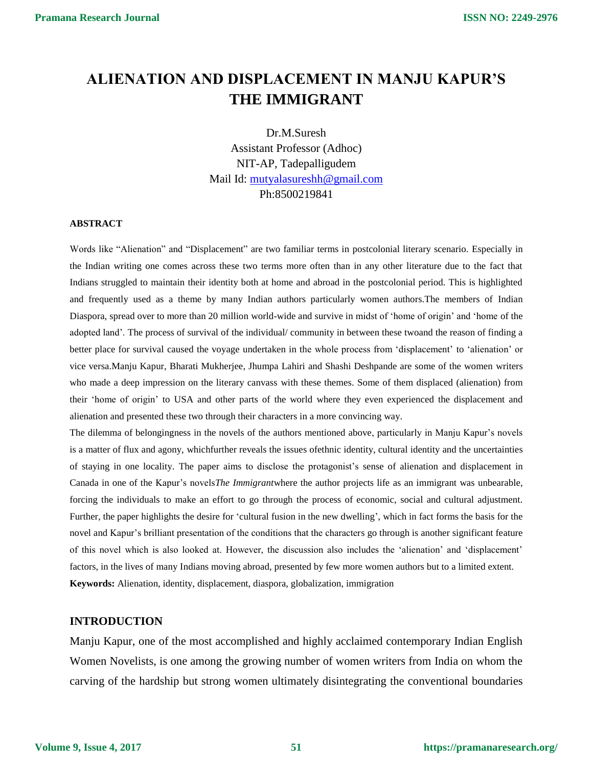# **ALIENATION AND DISPLACEMENT IN MANJU KAPUR'S THE IMMIGRANT**

Dr.M.Suresh Assistant Professor (Adhoc) NIT-AP, Tadepalligudem Mail Id: [mutyalasureshh@gmail.com](mailto:mutyalasureshh@gmail.com) Ph:8500219841

### **ABSTRACT**

Words like "Alienation" and "Displacement" are two familiar terms in postcolonial literary scenario. Especially in the Indian writing one comes across these two terms more often than in any other literature due to the fact that Indians struggled to maintain their identity both at home and abroad in the postcolonial period. This is highlighted and frequently used as a theme by many Indian authors particularly women authors.The members of Indian Diaspora, spread over to more than 20 million world-wide and survive in midst of 'home of origin' and 'home of the adopted land'. The process of survival of the individual/ community in between these twoand the reason of finding a better place for survival caused the voyage undertaken in the whole process from 'displacement' to 'alienation' or vice versa.Manju Kapur, Bharati Mukherjee, Jhumpa Lahiri and Shashi Deshpande are some of the women writers who made a deep impression on the literary canvass with these themes. Some of them displaced (alienation) from their 'home of origin' to USA and other parts of the world where they even experienced the displacement and alienation and presented these two through their characters in a more convincing way.

The dilemma of belongingness in the novels of the authors mentioned above, particularly in Manju Kapur's novels is a matter of flux and agony, whichfurther reveals the issues ofethnic identity, cultural identity and the uncertainties of staying in one locality. The paper aims to disclose the protagonist's sense of alienation and displacement in Canada in one of the Kapur's novels*The Immigrant*where the author projects life as an immigrant was unbearable, forcing the individuals to make an effort to go through the process of economic, social and cultural adjustment. Further, the paper highlights the desire for 'cultural fusion in the new dwelling', which in fact forms the basis for the novel and Kapur's brilliant presentation of the conditions that the characters go through is another significant feature of this novel which is also looked at. However, the discussion also includes the 'alienation' and 'displacement' factors, in the lives of many Indians moving abroad, presented by few more women authors but to a limited extent. **Keywords:** Alienation, identity, displacement, diaspora, globalization, immigration

#### **INTRODUCTION**

Manju Kapur, one of the most accomplished and highly acclaimed contemporary Indian English Women Novelists, is one among the growing number of women writers from India on whom the carving of the hardship but strong women ultimately disintegrating the conventional boundaries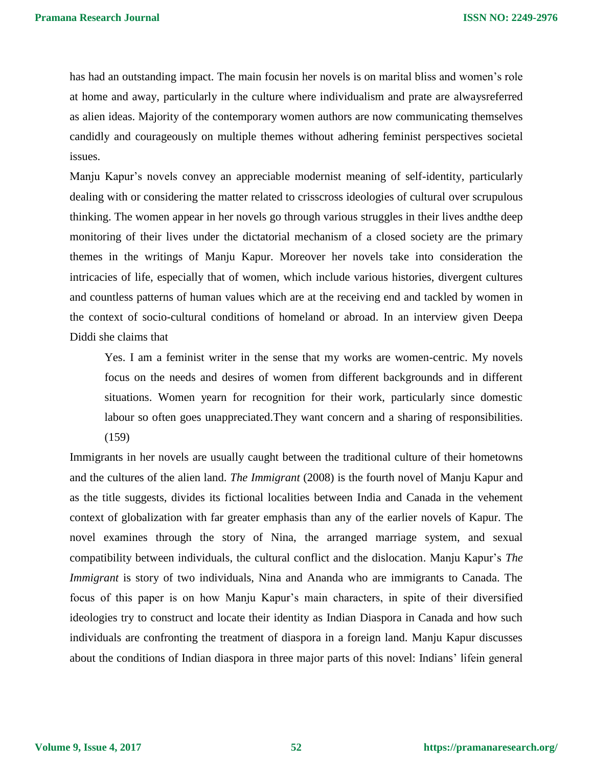has had an outstanding impact. The main focusin her novels is on marital bliss and women's role at home and away, particularly in the culture where individualism and prate are alwaysreferred as alien ideas. Majority of the contemporary women authors are now communicating themselves candidly and courageously on multiple themes without adhering feminist perspectives societal issues.

Manju Kapur's novels convey an appreciable modernist meaning of self-identity, particularly dealing with or considering the matter related to crisscross ideologies of cultural over scrupulous thinking. The women appear in her novels go through various struggles in their lives andthe deep monitoring of their lives under the dictatorial mechanism of a closed society are the primary themes in the writings of Manju Kapur. Moreover her novels take into consideration the intricacies of life, especially that of women, which include various histories, divergent cultures and countless patterns of human values which are at the receiving end and tackled by women in the context of socio-cultural conditions of homeland or abroad. In an interview given Deepa Diddi she claims that

Yes. I am a feminist writer in the sense that my works are women-centric. My novels focus on the needs and desires of women from different backgrounds and in different situations. Women yearn for recognition for their work, particularly since domestic labour so often goes unappreciated.They want concern and a sharing of responsibilities. (159)

Immigrants in her novels are usually caught between the traditional culture of their hometowns and the cultures of the alien land. *The Immigrant* (2008) is the fourth novel of Manju Kapur and as the title suggests, divides its fictional localities between India and Canada in the vehement context of globalization with far greater emphasis than any of the earlier novels of Kapur. The novel examines through the story of Nina, the arranged marriage system, and sexual compatibility between individuals, the cultural conflict and the dislocation. Manju Kapur's *The Immigrant* is story of two individuals, Nina and Ananda who are immigrants to Canada. The focus of this paper is on how Manju Kapur's main characters, in spite of their diversified ideologies try to construct and locate their identity as Indian Diaspora in Canada and how such individuals are confronting the treatment of diaspora in a foreign land. Manju Kapur discusses about the conditions of Indian diaspora in three major parts of this novel: Indians' lifein general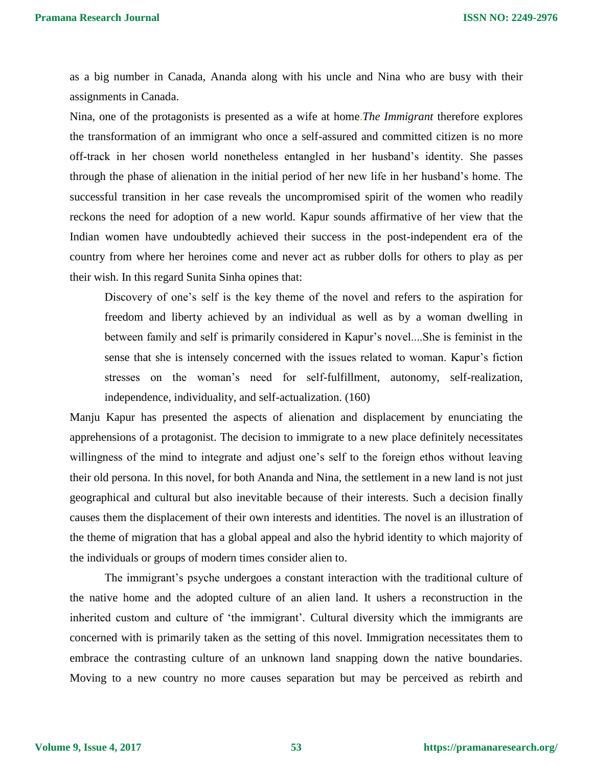as a big number in Canada, Ananda along with his uncle and Nina who are busy with their assignments in Canada.

Nina, one of the protagonists is presented as a wife at home.*The Immigrant* therefore explores the transformation of an immigrant who once a self-assured and committed citizen is no more off-track in her chosen world nonetheless entangled in her husband's identity. She passes through the phase of alienation in the initial period of her new life in her husband's home. The successful transition in her case reveals the uncompromised spirit of the women who readily reckons the need for adoption of a new world. Kapur sounds affirmative of her view that the Indian women have undoubtedly achieved their success in the post-independent era of the country from where her heroines come and never act as rubber dolls for others to play as per their wish. In this regard Sunita Sinha opines that:

Discovery of one's self is the key theme of the novel and refers to the aspiration for freedom and liberty achieved by an individual as well as by a woman dwelling in between family and self is primarily considered in Kapur's novel....She is feminist in the sense that she is intensely concerned with the issues related to woman. Kapur's fiction stresses on the woman's need for self-fulfillment, autonomy, self-realization, independence, individuality, and self-actualization. (160)

Manju Kapur has presented the aspects of alienation and displacement by enunciating the apprehensions of a protagonist. The decision to immigrate to a new place definitely necessitates willingness of the mind to integrate and adjust one's self to the foreign ethos without leaving their old persona. In this novel, for both Ananda and Nina, the settlement in a new land is not just geographical and cultural but also inevitable because of their interests. Such a decision finally causes them the displacement of their own interests and identities. The novel is an illustration of the theme of migration that has a global appeal and also the hybrid identity to which majority of the individuals or groups of modern times consider alien to.

The immigrant's psyche undergoes a constant interaction with the traditional culture of the native home and the adopted culture of an alien land. It ushers a reconstruction in the inherited custom and culture of 'the immigrant'*.* Cultural diversity which the immigrants are concerned with is primarily taken as the setting of this novel. Immigration necessitates them to embrace the contrasting culture of an unknown land snapping down the native boundaries. Moving to a new country no more causes separation but may be perceived as rebirth and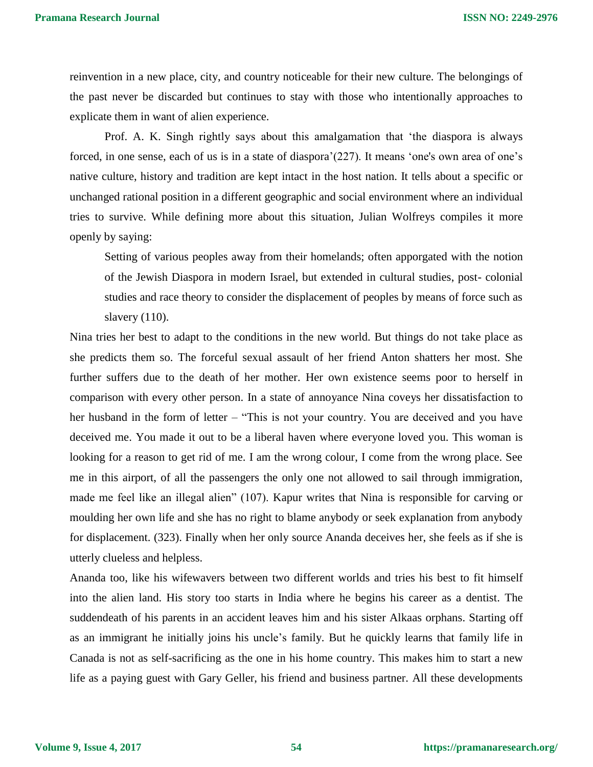reinvention in a new place, city, and country noticeable for their new culture. The belongings of the past never be discarded but continues to stay with those who intentionally approaches to explicate them in want of alien experience.

Prof. A. K. Singh rightly says about this amalgamation that 'the diaspora is always forced, in one sense, each of us is in a state of diaspora'(227). It means 'one's own area of one's native culture, history and tradition are kept intact in the host nation. It tells about a specific or unchanged rational position in a different geographic and social environment where an individual tries to survive. While defining more about this situation, Julian Wolfreys compiles it more openly by saying:

Setting of various peoples away from their homelands; often apporgated with the notion of the Jewish Diaspora in modern Israel, but extended in cultural studies, post- colonial studies and race theory to consider the displacement of peoples by means of force such as slavery (110).

Nina tries her best to adapt to the conditions in the new world. But things do not take place as she predicts them so. The forceful sexual assault of her friend Anton shatters her most. She further suffers due to the death of her mother. Her own existence seems poor to herself in comparison with every other person. In a state of annoyance Nina coveys her dissatisfaction to her husband in the form of letter – "This is not your country. You are deceived and you have deceived me. You made it out to be a liberal haven where everyone loved you. This woman is looking for a reason to get rid of me. I am the wrong colour, I come from the wrong place. See me in this airport, of all the passengers the only one not allowed to sail through immigration, made me feel like an illegal alien" (107). Kapur writes that Nina is responsible for carving or moulding her own life and she has no right to blame anybody or seek explanation from anybody for displacement. (323). Finally when her only source Ananda deceives her, she feels as if she is utterly clueless and helpless.

Ananda too, like his wifewavers between two different worlds and tries his best to fit himself into the alien land. His story too starts in India where he begins his career as a dentist. The suddendeath of his parents in an accident leaves him and his sister Alkaas orphans. Starting off as an immigrant he initially joins his uncle's family. But he quickly learns that family life in Canada is not as self-sacrificing as the one in his home country. This makes him to start a new life as a paying guest with Gary Geller, his friend and business partner. All these developments